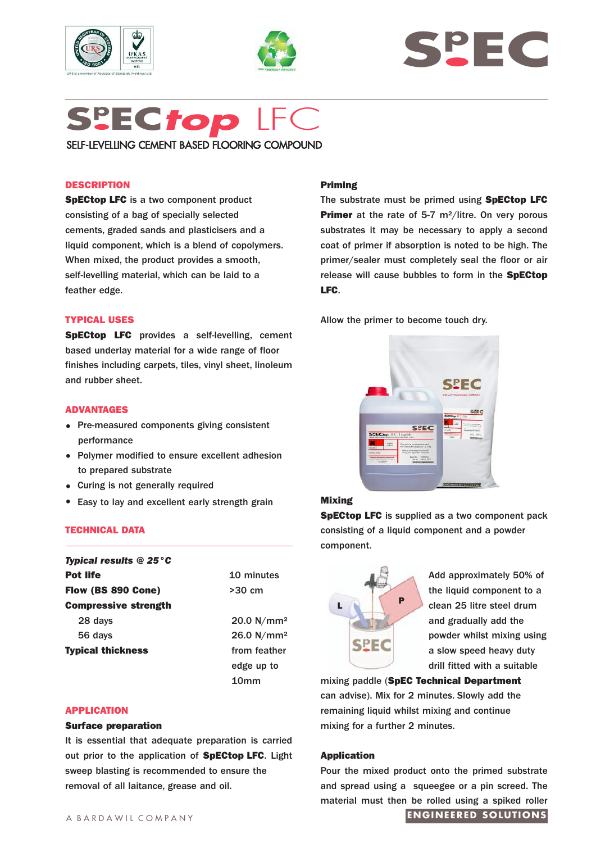





# **Sp EC***top* LFC SELF-LEVELLING CEMENT BASED FLOORING COMPOUND

## **DESCRIPTION**

**SpECtop LFC** is a two component product consisting of a bag of specially selected cements, graded sands and plasticisers and a liquid component, which is a blend of copolymers. When mixed, the product provides a smooth, self-levelling material, which can be laid to a feather edge.

## **TYPICAL USES**

**SpECtop LFC** provides a self-levelling, cement based underlay material for a wide range of floor finishes including carpets, tiles, vinyl sheet, linoleum and rubber sheet.

## **ADVANTAGES**

- Pre-measured components giving consistent performance
- Polymer modified to ensure excellent adhesion to prepared substrate
- Curing is not generally required
- Easy to lay and excellent early strength grain

## **TECHNICAL DATA**

| <b>Typical results @ 25 °C</b> |                        |
|--------------------------------|------------------------|
| <b>Pot life</b>                | 10 minutes             |
| Flow (BS 890 Cone)             | $>30$ cm               |
| <b>Compressive strength</b>    |                        |
| 28 days                        | 20.0 N/mm <sup>2</sup> |
| 56 days                        | 26.0 $N/mm^2$          |
| <b>Typical thickness</b>       | from feather           |
|                                | edge up to             |
|                                | 10mm                   |

## **APPLICATION**

### **Surface preparation**

It is essential that adequate preparation is carried out prior to the application of **SpECtop LFC**. Light sweep blasting is recommended to ensure the removal of all laitance, grease and oil.

## **Priming**

The substrate must be primed using **SpECtop LFC Primer** at the rate of 5-7 m<sup>2</sup>/litre. On very porous substrates it may be necessary to apply a second coat of primer if absorption is noted to be high. The primer/sealer must completely seal the floor or air release will cause bubbles to form in the **SpECtop LFC**.

Allow the primer to become touch dry.



## **Mixing**

**SpECtop LFC** is supplied as a two component pack consisting of a liquid component and a powder component.



Add approximately 50% of the liquid component to a clean 25 litre steel drum and gradually add the powder whilst mixing using a slow speed heavy duty drill fitted with a suitable

mixing paddle (**SpEC Technical Department** can advise). Mix for 2 minutes. Slowly add the remaining liquid whilst mixing and continue mixing for a further 2 minutes.

## **Application**

Pour the mixed product onto the primed substrate and spread using a squeegee or a pin screed. The material must then be rolled using a spiked roller

# **ENGINEERED SOLUTIONS**